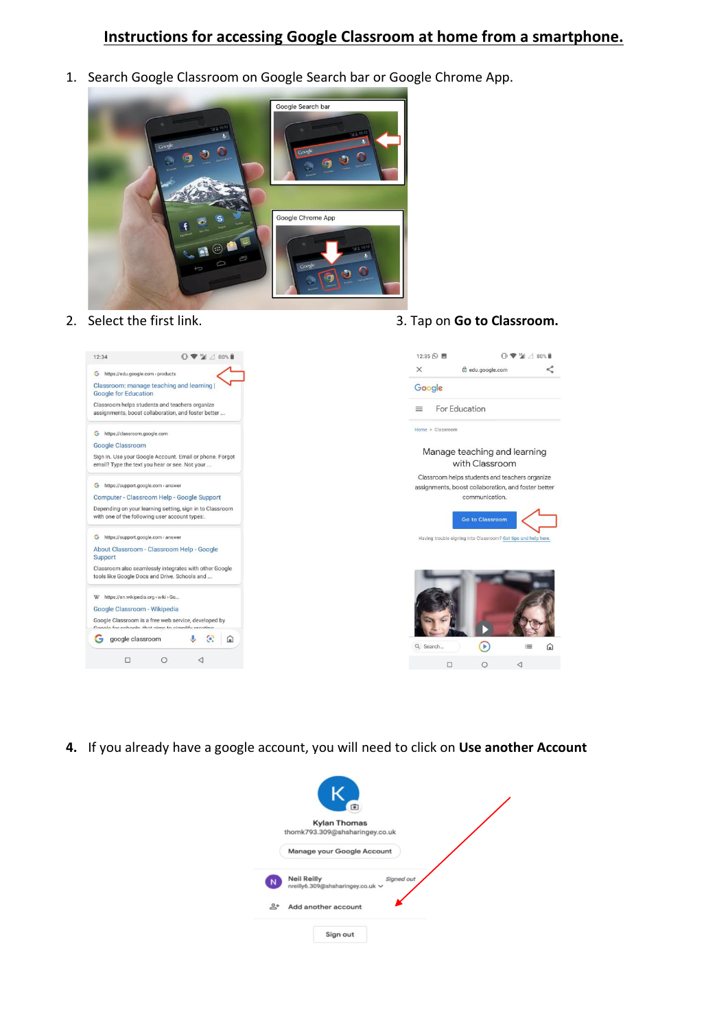## **Instructions for accessing Google Classroom at home from a smartphone.**

1. Search Google Classroom on Google Search bar or Google Chrome App.



2. Select the first link. 3. Tap on **Go to Classroom.**



**4.** If you already have a google account, you will need to click on **Use another Account**

|   | 匝                                                                    |  |
|---|----------------------------------------------------------------------|--|
|   | <b>Kylan Thomas</b>                                                  |  |
|   | thomk793.309@shsharingey.co.uk                                       |  |
|   | Manage your Google Account                                           |  |
|   | Signed out<br><b>Neil Reilly</b><br>nreilly6.309@shsharingey.co.uk ~ |  |
| ≗ | Add another account                                                  |  |
|   | Sign out                                                             |  |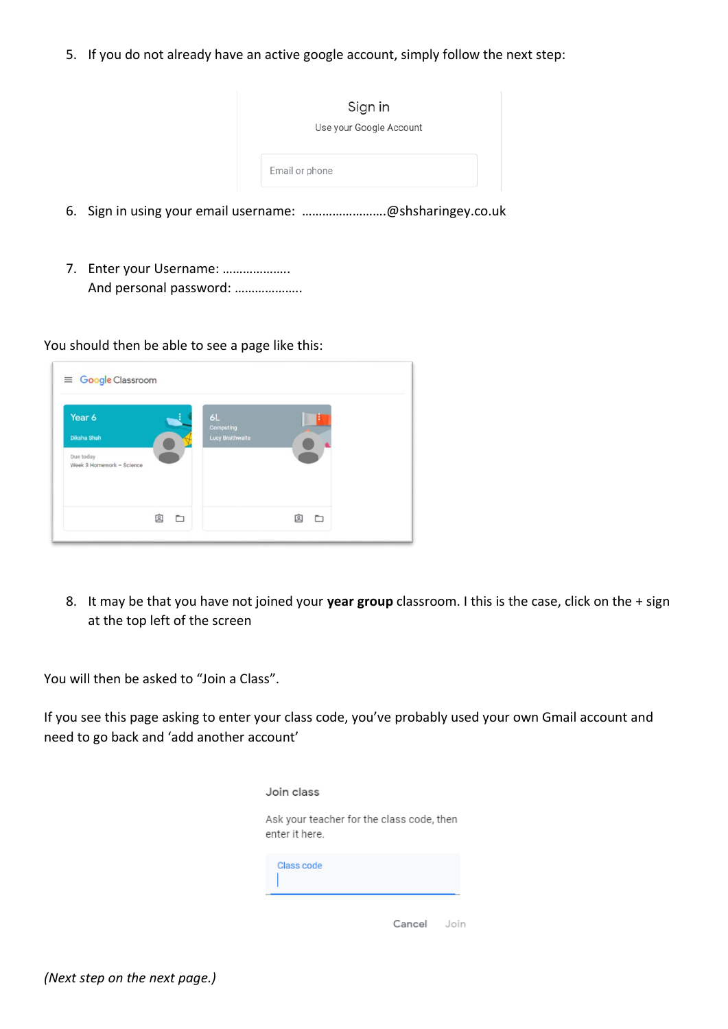5. If you do not already have an active google account, simply follow the next step:

| Sign in<br>Use your Google Account |
|------------------------------------|
| Email or phone                     |

- 6. Sign in using your email username: …………………….@shsharingey.co.uk
- 7. Enter your Username: ……………….. And personal password: ………………..

You should then be able to see a page like this:

| Year 6                                 | 6L                            |        |
|----------------------------------------|-------------------------------|--------|
| <b>Diksha Shah</b>                     | Computing<br>Lucy Braithwaite |        |
| Due today<br>Week 3 Homework - Science |                               |        |
|                                        |                               |        |
|                                        |                               |        |
| 囱                                      | n                             | 回<br>n |

8. It may be that you have not joined your **year group** classroom. I this is the case, click on the + sign at the top left of the screen

You will then be asked to "Join a Class".

If you see this page asking to enter your class code, you've probably used your own Gmail account and need to go back and 'add another account'

| Join class                                                  |  |  |  |  |
|-------------------------------------------------------------|--|--|--|--|
| Ask your teacher for the class code, then<br>enter it here. |  |  |  |  |
| Class code                                                  |  |  |  |  |
| Cancel<br>Join                                              |  |  |  |  |